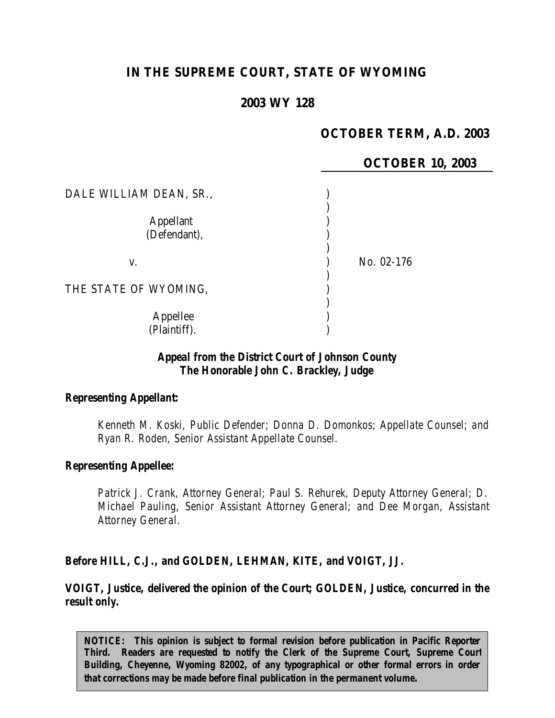# **IN THE SUPREME COURT, STATE OF WYOMING**

# **2003 WY 128**

# **OCTOBER TERM, A.D. 2003**

# **OCTOBER 10, 2003**

| DALE WILLIAM DEAN, SR.,          |            |  |
|----------------------------------|------------|--|
| <b>Appellant</b><br>(Defendant), |            |  |
| V.                               | No. 02-176 |  |
| THE STATE OF WYOMING,            |            |  |
| Appellee<br>(Plaintiff).         |            |  |

# *Appeal from the District Court of Johnson County The Honorable John C. Brackley, Judge*

#### *Representing Appellant:*

*Kenneth M. Koski, Public Defender; Donna D. Domonkos; Appellate Counsel; and Ryan R. Roden, Senior Assistant Appellate Counsel.*

#### *Representing Appellee:*

*Patrick J. Crank, Attorney General; Paul S. Rehurek, Deputy Attorney General; D. Michael Pauling, Senior Assistant Attorney General; and Dee Morgan, Assistant Attorney General.*

#### *Before HILL, C.J., and GOLDEN, LEHMAN, KITE, and VOIGT, JJ.*

*VOIGT, Justice, delivered the opinion of the Court; GOLDEN, Justice, concurred in the result only.*

*NOTICE: This opinion is subject to formal revision before publication in Pacific Reporter Third. Readers are requested to notify the Clerk of the Supreme Court, Supreme Court Building, Cheyenne, Wyoming 82002, of any typographical or other formal errors in order that corrections may be made before final publication in the permanent volume.*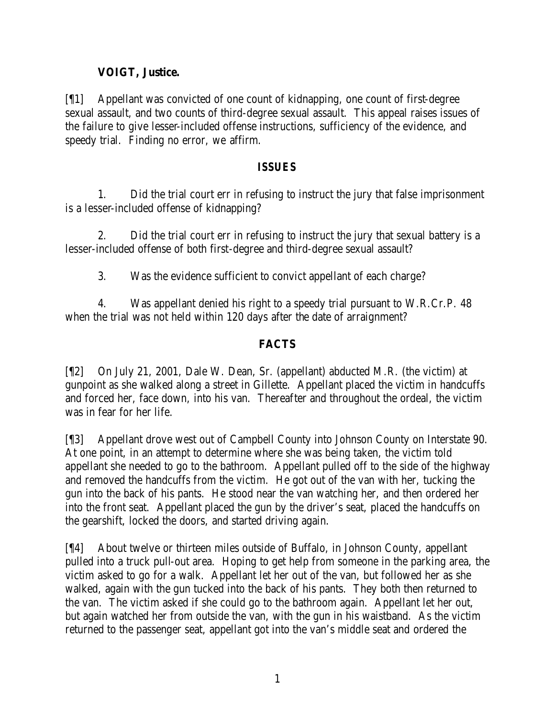# **VOIGT, Justice.**

[¶1] Appellant was convicted of one count of kidnapping, one count of first-degree sexual assault, and two counts of third-degree sexual assault. This appeal raises issues of the failure to give lesser-included offense instructions, sufficiency of the evidence, and speedy trial. Finding no error, we affirm.

#### *ISSUES*

1. Did the trial court err in refusing to instruct the jury that false imprisonment is a lesser-included offense of kidnapping?

2. Did the trial court err in refusing to instruct the jury that sexual battery is a lesser-included offense of both first-degree and third-degree sexual assault?

3. Was the evidence sufficient to convict appellant of each charge?

4. Was appellant denied his right to a speedy trial pursuant to W.R.Cr.P. 48 when the trial was not held within 120 days after the date of arraignment?

# **FACTS**

[¶2] On July 21, 2001, Dale W. Dean, Sr. (appellant) abducted M.R. (the victim) at gunpoint as she walked along a street in Gillette. Appellant placed the victim in handcuffs and forced her, face down, into his van. Thereafter and throughout the ordeal, the victim was in fear for her life.

[¶3] Appellant drove west out of Campbell County into Johnson County on Interstate 90. At one point, in an attempt to determine where she was being taken, the victim told appellant she needed to go to the bathroom. Appellant pulled off to the side of the highway and removed the handcuffs from the victim. He got out of the van with her, tucking the gun into the back of his pants. He stood near the van watching her, and then ordered her into the front seat. Appellant placed the gun by the driver's seat, placed the handcuffs on the gearshift, locked the doors, and started driving again.

[¶4] About twelve or thirteen miles outside of Buffalo, in Johnson County, appellant pulled into a truck pull-out area. Hoping to get help from someone in the parking area, the victim asked to go for a walk. Appellant let her out of the van, but followed her as she walked, again with the gun tucked into the back of his pants. They both then returned to the van. The victim asked if she could go to the bathroom again. Appellant let her out, but again watched her from outside the van, with the gun in his waistband. As the victim returned to the passenger seat, appellant got into the van's middle seat and ordered the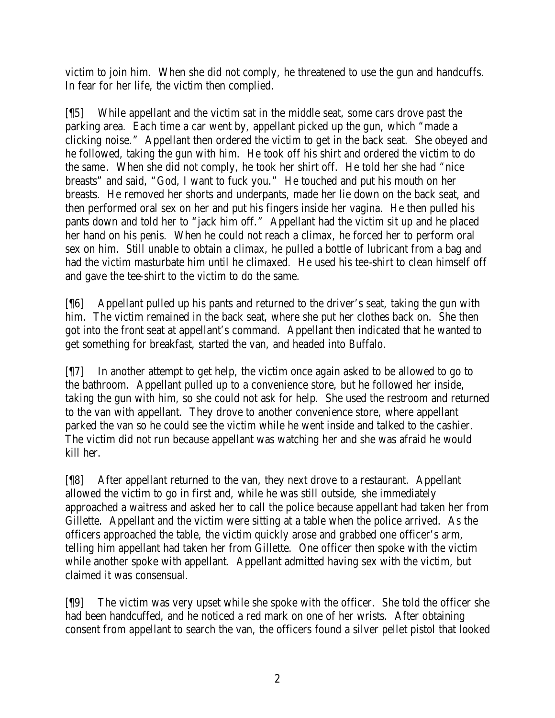victim to join him. When she did not comply, he threatened to use the gun and handcuffs. In fear for her life, the victim then complied.

[¶5] While appellant and the victim sat in the middle seat, some cars drove past the parking area. Each time a car went by, appellant picked up the gun, which "made a clicking noise." Appellant then ordered the victim to get in the back seat. She obeyed and he followed, taking the gun with him. He took off his shirt and ordered the victim to do the same. When she did not comply, he took her shirt off. He told her she had "nice breasts" and said, "God, I want to fuck you." He touched and put his mouth on her breasts. He removed her shorts and underpants, made her lie down on the back seat, and then performed oral sex on her and put his fingers inside her vagina. He then pulled his pants down and told her to "jack him off." Appellant had the victim sit up and he placed her hand on his penis. When he could not reach a climax, he forced her to perform oral sex on him. Still unable to obtain a climax, he pulled a bottle of lubricant from a bag and had the victim masturbate him until he climaxed. He used his tee-shirt to clean himself off and gave the tee-shirt to the victim to do the same.

[¶6] Appellant pulled up his pants and returned to the driver's seat, taking the gun with him. The victim remained in the back seat, where she put her clothes back on. She then got into the front seat at appellant's command. Appellant then indicated that he wanted to get something for breakfast, started the van, and headed into Buffalo.

[¶7] In another attempt to get help, the victim once again asked to be allowed to go to the bathroom. Appellant pulled up to a convenience store, but he followed her inside, taking the gun with him, so she could not ask for help. She used the restroom and returned to the van with appellant. They drove to another convenience store, where appellant parked the van so he could see the victim while he went inside and talked to the cashier. The victim did not run because appellant was watching her and she was afraid he would kill her.

[¶8] After appellant returned to the van, they next drove to a restaurant. Appellant allowed the victim to go in first and, while he was still outside, she immediately approached a waitress and asked her to call the police because appellant had taken her from Gillette. Appellant and the victim were sitting at a table when the police arrived. As the officers approached the table, the victim quickly arose and grabbed one officer's arm, telling him appellant had taken her from Gillette. One officer then spoke with the victim while another spoke with appellant. Appellant admitted having sex with the victim, but claimed it was consensual.

[¶9] The victim was very upset while she spoke with the officer. She told the officer she had been handcuffed, and he noticed a red mark on one of her wrists. After obtaining consent from appellant to search the van, the officers found a silver pellet pistol that looked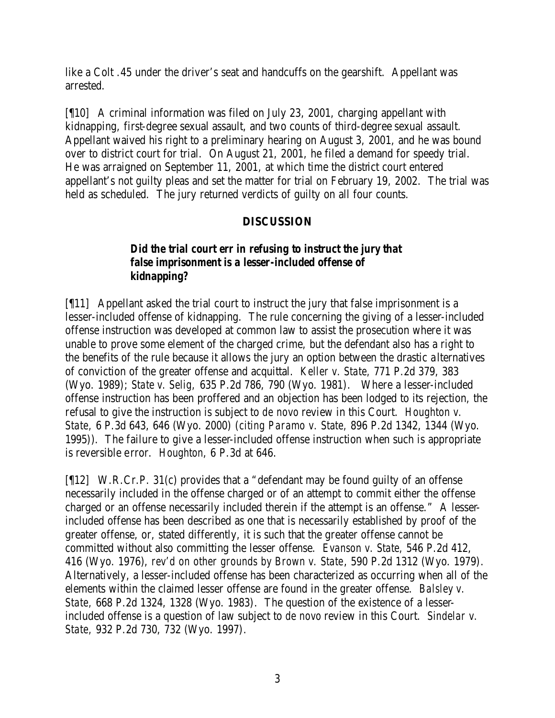like a Colt .45 under the driver's seat and handcuffs on the gearshift. Appellant was arrested.

[¶10] A criminal information was filed on July 23, 2001, charging appellant with kidnapping, first-degree sexual assault, and two counts of third-degree sexual assault. Appellant waived his right to a preliminary hearing on August 3, 2001, and he was bound over to district court for trial. On August 21, 2001, he filed a demand for speedy trial. He was arraigned on September 11, 2001, at which time the district court entered appellant's not guilty pleas and set the matter for trial on February 19, 2002. The trial was held as scheduled. The jury returned verdicts of guilty on all four counts.

# **DISCUSSION**

# *Did the trial court err in refusing to instruct the jury that false imprisonment is a lesser-included offense of kidnapping?*

[¶11] Appellant asked the trial court to instruct the jury that false imprisonment is a lesser-included offense of kidnapping. The rule concerning the giving of a lesser-included offense instruction was developed at common law to assist the prosecution where it was unable to prove some element of the charged crime, but the defendant also has a right to the benefits of the rule because it allows the jury an option between the drastic a lternatives of conviction of the greater offense and acquittal. *Keller v. State,* 771 P.2d 379, 383 (Wyo. 1989); *State v. Selig,* 635 P.2d 786, 790 (Wyo. 1981). Where a lesser-included offense instruction has been proffered and an objection has been lodged to its rejection, the refusal to give the instruction is subject to *de novo* review in this Court. *Houghton v. State,* 6 P.3d 643, 646 (Wyo. 2000) (*citing Paramo v. State,* 896 P.2d 1342, 1344 (Wyo. 1995)). The failure to give a lesser-included offense instruction when such is appropriate is reversible error. *Houghton*, 6 P.3d at 646.

[¶12] W.R.Cr.P. 31(c) provides that a "defendant may be found guilty of an offense necessarily included in the offense charged or of an attempt to commit either the offense charged or an offense necessarily included therein if the attempt is an offense." A lesserincluded offense has been described as one that is necessarily established by proof of the greater offense, or, stated differently, it is such that the greater offense cannot be committed without also committing the lesser offense. *Evanson v. State,* 546 P.2d 412, 416 (Wyo. 1976), *rev'd on other grounds by Brown v. State*, 590 P.2d 1312 (Wyo. 1979). Alternatively, a lesser-included offense has been characterized as occurring when all of the elements within the claimed lesser offense are found in the greater offense. *Balsley v. State,* 668 P.2d 1324, 1328 (Wyo. 1983). The question of the existence of a lesserincluded offense is a question of law subject to *de novo* review in this Court. *Sindelar v. State,* 932 P.2d 730, 732 (Wyo. 1997).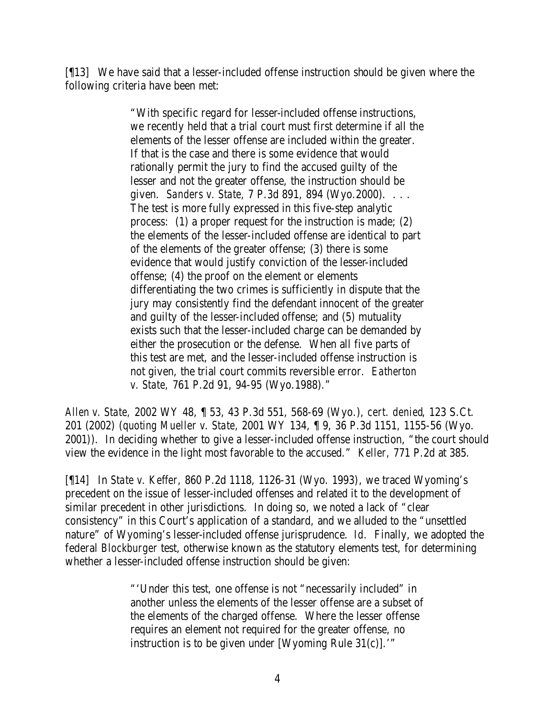[¶13] We have said that a lesser-included offense instruction should be given where the following criteria have been met:

> "With specific regard for lesser-included offense instructions, we recently held that a trial court must first determine if all the elements of the lesser offense are included within the greater. If that is the case and there is some evidence that would rationally permit the jury to find the accused guilty of the lesser and not the greater offense, the instruction should be given. *Sanders v. State,* 7 P.3d 891, 894 (Wyo.2000). . . . The test is more fully expressed in this five-step analytic process: (1) a proper request for the instruction is made; (2) the elements of the lesser-included offense are identical to part of the elements of the greater offense; (3) there is some evidence that would justify conviction of the lesser-included offense; (4) the proof on the element or elements differentiating the two crimes is sufficiently in dispute that the jury may consistently find the defendant innocent of the greater and guilty of the lesser-included offense; and (5) mutuality exists such that the lesser-included charge can be demanded by either the prosecution or the defense. When all five parts of this test are met, and the lesser-included offense instruction is not given, the trial court commits reversible error. *Eatherton v. State,* 761 P.2d 91, 94-95 (Wyo.1988)."

*Allen v. State,* 2002 WY 48, ¶ 53, 43 P.3d 551, 568-69 (Wyo.), *cert. denied*, 123 S.Ct. 201 (2002) (*quoting Mueller v. State,* 2001 WY 134, ¶ 9, 36 P.3d 1151, 1155-56 (Wyo. 2001)). In deciding whether to give a lesser-included offense instruction, "the court should view the evidence in the light most favorable to the accused." *Keller,* 771 P.2d at 385.

[¶14] In *State v. Keffer,* 860 P.2d 1118, 1126-31 (Wyo. 1993), we traced Wyoming's precedent on the issue of lesser-included offenses and related it to the development of similar precedent in other jurisdictions. In doing so, we noted a lack of "clear consistency" in this Court's application of a standard, and we alluded to the "unsettled nature" of Wyoming's lesser-included offense jurisprudence. *Id.* Finally, we adopted the federal *Blockburger* test, otherwise known as the statutory elements test, for determining whether a lesser-included offense instruction should be given:

> "'Under this test, one offense is not "necessarily included" in another unless the elements of the lesser offense are a subset of the elements of the charged offense. Where the lesser offense requires an element not required for the greater offense, no instruction is to be given under [Wyoming Rule  $31(c)$ ].'"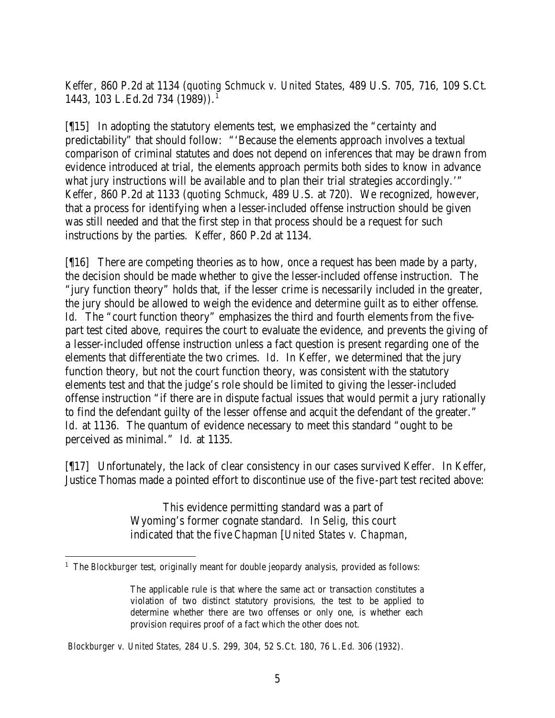*Keffer*, 860 P.2d at 1134 (*quoting Schmuck v. United States,* 489 U.S. 705, 716, 109 S.Ct. 1443, 103 L.Ed.2d 734 (1989)).<sup>1</sup>

[¶15] In adopting the statutory elements test, we emphasized the "certainty and predictability" that should follow: "'Because the elements approach involves a textual comparison of criminal statutes and does not depend on inferences that may be drawn from evidence introduced at trial, the elements approach permits both sides to know in advance what jury instructions will be available and to plan their trial strategies accordingly.'" *Keffer*, 860 P.2d at 1133 (q*uoting Schmuck*, 489 U.S. at 720). We recognized, however, that a process for identifying when a lesser-included offense instruction should be given was still needed and that the first step in that process should be a request for such instructions by the parties. *Keffer*, 860 P.2d at 1134.

[¶16] There are competing theories as to how, once a request has been made by a party, the decision should be made whether to give the lesser-included offense instruction. The "jury function theory" holds that, if the lesser crime is necessarily included in the greater, the jury should be allowed to weigh the evidence and determine guilt as to either offense. *Id.* The "court function theory" emphasizes the third and fourth elements from the fivepart test cited above, requires the court to evaluate the evidence, and prevents the giving of a lesser-included offense instruction unless a fact question is present regarding one of the elements that differentiate the two crimes. *Id.* In *Keffer,* we determined that the jury function theory, but not the court function theory, was consistent with the statutory elements test and that the judge's role should be limited to giving the lesser-included offense instruction "if there are in dispute factual issues that would permit a jury rationally to find the defendant guilty of the lesser offense and acquit the defendant of the greater." *Id.* at 1136. The quantum of evidence necessary to meet this standard "ought to be perceived as minimal." *Id.* at 1135.

[¶17] Unfortunately, the lack of clear consistency in our cases survived *Keffer.* In *Keffer*, Justice Thomas made a pointed effort to discontinue use of the five -part test recited above:

> This evidence permitting standard was a part of Wyoming's former cognate standard. In *Selig*, this court indicated that the five *Chapman* [*United States v. Chapman*,

<sup>&</sup>lt;sup>1</sup> The *Blockburger* test, originally meant for double jeopardy analysis, provided as follows:

The applicable rule is that where the same act or transaction constitutes a violation of two distinct statutory provisions, the test to be applied to determine whether there are two offenses or only one, is whether each provision requires proof of a fact which the other does not.

*Blockburger v. United States,* 284 U.S. 299, 304, 52 S.Ct. 180, 76 L.Ed. 306 (1932).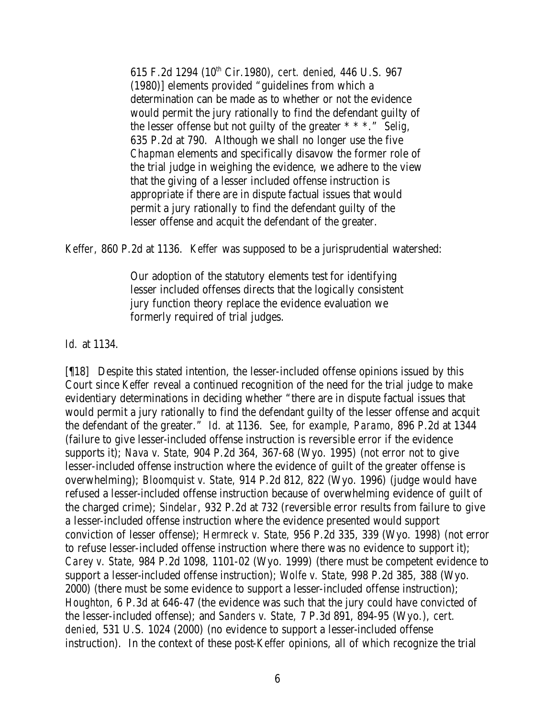615 F.2d 1294 (10th Cir.1980), *cert. denied*, 446 U.S. 967 (1980)] elements provided "guidelines from which a determination can be made as to whether or not the evidence would permit the jury rationally to find the defendant guilty of the lesser offense but not guilty of the greater \* \* \*." *Selig,* 635 P.2d at 790. Although we shall no longer use the five *Chapman* elements and specifically disavow the former role of the trial judge in weighing the evidence, we adhere to the view that the giving of a lesser included offense instruction is appropriate if there are in dispute factual issues that would permit a jury rationally to find the defendant guilty of the lesser offense and acquit the defendant of the greater.

*Keffer,* 860 P.2d at 1136. *Keffer* was supposed to be a jurisprudential watershed:

Our adoption of the statutory elements test for identifying lesser included offenses directs that the logically consistent jury function theory replace the evidence evaluation we formerly required of trial judges.

*Id.* at 1134.

[¶18] Despite this stated intention, the lesser-included offense opinions issued by this Court since *Keffer* reveal a continued recognition of the need for the trial judge to make evidentiary determinations in deciding whether "there are in dispute factual issues that would permit a jury rationally to find the defendant guilty of the lesser offense and acquit the defendant of the greater." *Id.* at 1136. *See, for example, Paramo,* 896 P.2d at 1344 (failure to give lesser-included offense instruction is reversible error if the evidence supports it); *Nava v. State,* 904 P.2d 364, 367-68 (Wyo. 1995) (not error not to give lesser-included offense instruction where the evidence of guilt of the greater offense is overwhelming); *Bloomquist v. State,* 914 P.2d 812, 822 (Wyo. 1996) (judge would have refused a lesser-included offense instruction because of overwhelming evidence of guilt of the charged crime); *Sindelar*, 932 P.2d at 732 (reversible error results from failure to give a lesser-included offense instruction where the evidence presented would support conviction of lesser offense); *Hermreck v. State,* 956 P.2d 335, 339 (Wyo. 1998) (not error to refuse lesser-included offense instruction where there was no evidence to support it); *Carey v. State,* 984 P.2d 1098, 1101-02 (Wyo. 1999) (there must be competent evidence to support a lesser-included offense instruction); *Wolfe v. State,* 998 P.2d 385, 388 (Wyo. 2000) (there must be some evidence to support a lesser-included offense instruction); *Houghton,* 6 P.3d at 646-47 (the evidence was such that the jury could have convicted of the lesser-included offense); and *Sanders v. State,* 7 P.3d 891, 894-95 (Wyo.), *cert. denied*, 531 U.S. 1024 (2000) (no evidence to support a lesser-included offense instruction). In the context of these post-*Keffer* opinions, all of which recognize the trial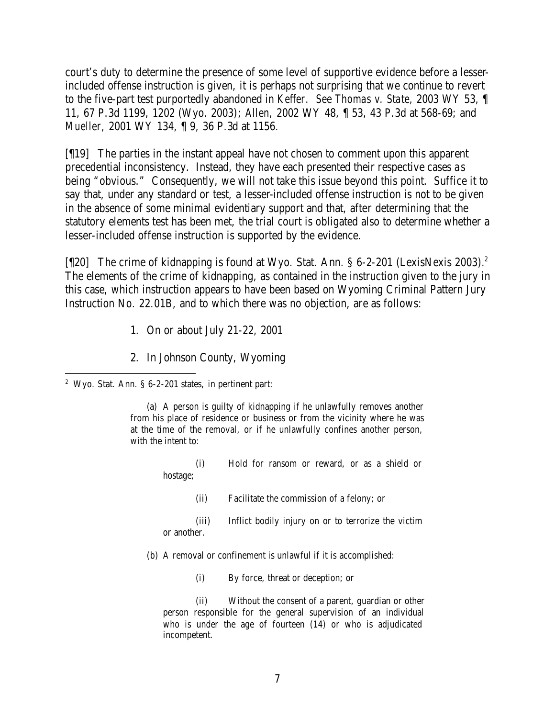court's duty to determine the presence of some level of supportive evidence before a lesserincluded offense instruction is given, it is perhaps not surprising that we continue to revert to the five-part test purportedly abandoned in *Keffer. See Thomas v. State,* 2003 WY 53, ¶ 11, 67 P.3d 1199, 1202 (Wyo. 2003); *Allen,* 2002 WY 48, ¶ 53, 43 P.3d at 568-69; and *Mueller,* 2001 WY 134, ¶ 9, 36 P.3d at 1156.

[¶19] The parties in the instant appeal have not chosen to comment upon this apparent precedential inconsistency. Instead, they have each presented their respective cases a s being "obvious." Consequently, we will not take this issue beyond this point. Suffice it to say that, under any standard or test, a lesser-included offense instruction is not to be given in the absence of some minimal evidentiary support and that, after determining that the statutory elements test has been met, the trial court is obligated also to determine whether a lesser-included offense instruction is supported by the evidence.

[[[20] The crime of kidnapping is found at Wyo. Stat. Ann. § 6-2-201 (LexisNexis 2003).<sup>2</sup> The elements of the crime of kidnapping, as contained in the instruction given to the jury in this case, which instruction appears to have been based on Wyoming Criminal Pattern Jury Instruction No. 22.01B, and to which there was no objection, are as follows:

- 1. On or about July 21-22, 2001
- 2. In Johnson County, Wyoming
- <sup>2</sup> Wyo. Stat. Ann. §  $6-2-201$  states, in pertinent part:

(a) A person is guilty of kidnapping if he unlawfully removes another from his place of residence or business or from the vicinity where he was at the time of the removal, or if he unlawfully confines another person, with the intent to:

> (i) Hold for ransom or reward, or as a shield or hostage;

- (ii) Facilitate the commission of a felony; or
- (iii) Inflict bodily injury on or to terrorize the victim or another.
- (b) A removal or confinement is unlawful if it is accomplished:
	- (i) By force, threat or deception; or

(ii) Without the consent of a parent, guardian or other person responsible for the general supervision of an individual who is under the age of fourteen (14) or who is adjudicated incompetent.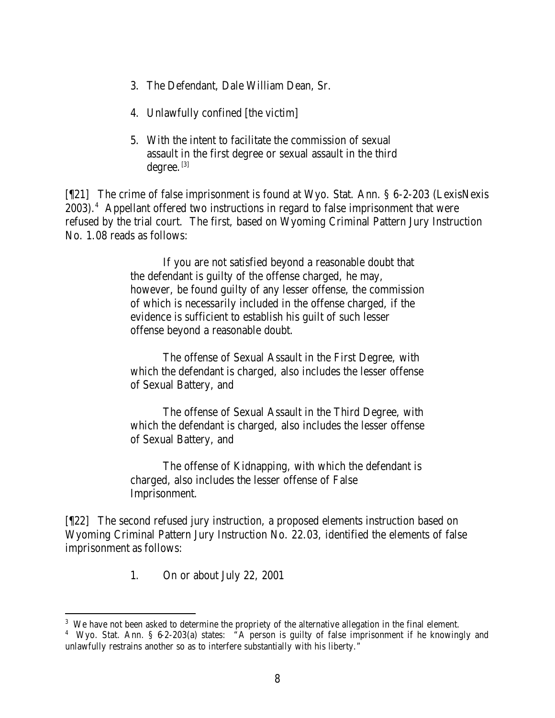- 3. The Defendant, Dale William Dean, Sr.
- 4. Unlawfully confined [the victim]
- 5. With the intent to facilitate the commission of sexual assault in the first degree or sexual assault in the third  $degree.$ <sup>[3]</sup>

[¶21] The crime of false imprisonment is found at Wyo. Stat. Ann. § 6-2-203 (LexisNexis 2003).<sup>4</sup> Appellant offered two instructions in regard to false imprisonment that were refused by the trial court. The first, based on Wyoming Criminal Pattern Jury Instruction No. 1.08 reads as follows:

> If you are not satisfied beyond a reasonable doubt that the defendant is guilty of the offense charged, he may, however, be found guilty of any lesser offense, the commission of which is necessarily included in the offense charged, if the evidence is sufficient to establish his guilt of such lesser offense beyond a reasonable doubt.

> The offense of Sexual Assault in the First Degree, with which the defendant is charged, also includes the lesser offense of Sexual Battery, and

> The offense of Sexual Assault in the Third Degree, with which the defendant is charged, also includes the lesser offense of Sexual Battery, and

> The offense of Kidnapping, with which the defendant is charged, also includes the lesser offense of False Imprisonment.

[¶22] The second refused jury instruction, a proposed elements instruction based on Wyoming Criminal Pattern Jury Instruction No. 22.03, identified the elements of false imprisonment as follows:

1. On or about July 22, 2001

<sup>&</sup>lt;sup>3</sup> We have not been asked to determine the propriety of the alternative allegation in the final element.

<sup>&</sup>lt;sup>4</sup> Wyo. Stat. Ann. § 6-2-203(a) states: "A person is guilty of false imprisonment if he knowingly and unlawfully restrains another so as to interfere substantially with his liberty."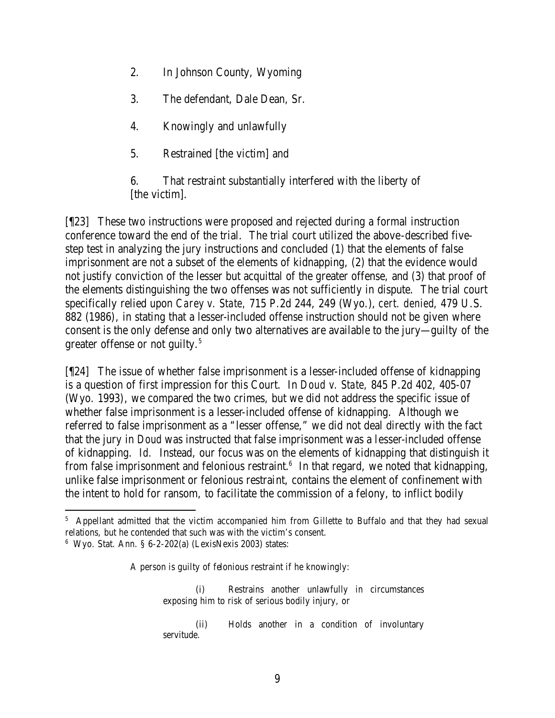- 2. In Johnson County, Wyoming
- 3. The defendant, Dale Dean, Sr.
- 4. Knowingly and unlawfully
- 5. Restrained [the victim] and

6. That restraint substantially interfered with the liberty of [the victim].

[¶23] These two instructions were proposed and rejected during a formal instruction conference toward the end of the trial. The trial court utilized the above-described fivestep test in analyzing the jury instructions and concluded (1) that the elements of false imprisonment are not a subset of the elements of kidnapping, (2) that the evidence would not justify conviction of the lesser but acquittal of the greater offense, and (3) that proof of the elements distinguishing the two offenses was not sufficiently in dispute. The trial court specifically relied upon *Carey v. State,* 715 P.2d 244, 249 (Wyo.), *cert. denied*, 479 U.S. 882 (1986), in stating that a lesser-included offense instruction should not be given where consent is the only defense and only two alternatives are available to the jury—guilty of the greater offense or not guilty.<sup>5</sup>

[¶24] The issue of whether false imprisonment is a lesser-included offense of kidnapping is a question of first impression for this Court. In *Doud v. State,* 845 P.2d 402, 405-07 (Wyo. 1993), we compared the two crimes, but we did not address the specific issue of whether false imprisonment is a lesser-included offense of kidnapping. Although we referred to false imprisonment as a "lesser offense," we did not deal directly with the fact that the jury in *Doud* was instructed that false imprisonment was a lesser-included offense of kidnapping. *Id.* Instead, our focus was on the elements of kidnapping that distinguish it from false imprisonment and felonious restraint. $6$  In that regard, we noted that kidnapping, unlike false imprisonment or felonious restraint, contains the element of confinement with the intent to hold for ransom, to facilitate the commission of a felony, to inflict bodily

A person is guilty of felonious restraint if he knowingly:

(i) Restrains another unlawfully in circumstances exposing him to risk of serious bodily injury, or

(ii) Holds another in a condition of involuntary servitude.

<sup>&</sup>lt;sup>5</sup> Appellant admitted that the victim accompanied him from Gillette to Buffalo and that they had sexual relations, but he contended that such was with the victim's consent.

<sup>6</sup> Wyo. Stat. Ann. § 6-2-202(a) (LexisNexis 2003) states: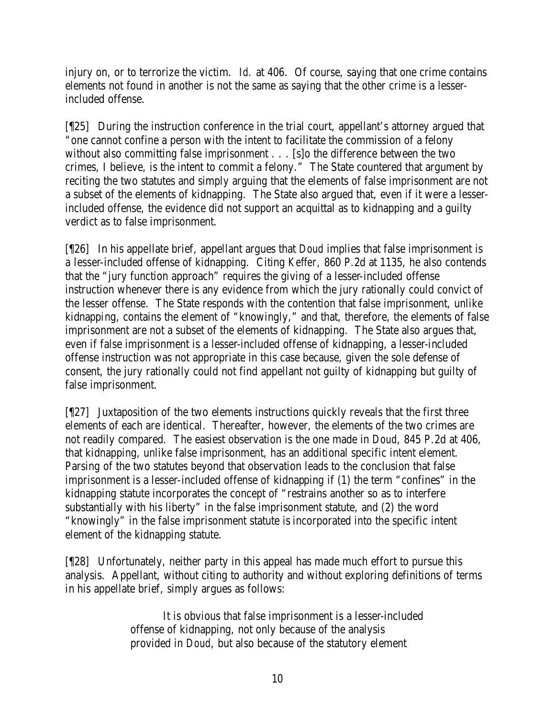injury on, or to terrorize the victim. *Id.* at 406. Of course, saying that one crime contains elements not found in another is not the same as saying that the other crime is a lesserincluded offense.

[¶25] During the instruction conference in the trial court, appellant's attorney argued that "one cannot confine a person with the intent to facilitate the commission of a felony without also committing false imprisonment . . . [s] o the difference between the two crimes, I believe, is the intent to commit a felony." The State countered that argument by reciting the two statutes and simply arguing that the elements of false imprisonment are not a subset of the elements of kidnapping. The State also argued that, even if it were a lesserincluded offense, the evidence did not support an acquittal as to kidnapping and a guilty verdict as to false imprisonment.

[¶26] In his appellate brief, appellant argues that *Doud* implies that false imprisonment is a lesser-included offense of kidnapping. Citing *Keffer,* 860 P.2d at 1135, he also contends that the "jury function approach" requires the giving of a lesser-included offense instruction whenever there is any evidence from which the jury rationally could convict of the lesser offense. The State responds with the contention that false imprisonment, unlike kidnapping, contains the element of "knowingly," and that, therefore, the elements of false imprisonment are not a subset of the elements of kidnapping. The State also argues that, even if false imprisonment is a lesser-included offense of kidnapping, a lesser-included offense instruction was not appropriate in this case because, given the sole defense of consent, the jury rationally could not find appellant not guilty of kidnapping but guilty of false imprisonment.

[¶27] Juxtaposition of the two elements instructions quickly reveals that the first three elements of each are identical. Thereafter, however, the elements of the two crimes are not readily compared. The easiest observation is the one made in *Doud*, 845 P.2d at 406, that kidnapping, unlike false imprisonment, has an additional specific intent element. Parsing of the two statutes beyond that observation leads to the conclusion that false imprisonment is a lesser-included offense of kidnapping if (1) the term "confines" in the kidnapping statute incorporates the concept of "restrains another so as to interfere substantially with his liberty" in the false imprisonment statute, and (2) the word "knowingly" in the false imprisonment statute is incorporated into the specific intent element of the kidnapping statute.

[¶28] Unfortunately, neither party in this appeal has made much effort to pursue this analysis. Appellant, without citing to authority and without exploring definitions of terms in his appellate brief, simply argues as follows:

> It is obvious that false imprisonment is a lesser-included offense of kidnapping, not only because of the analysis provided in *Doud*, but also because of the statutory element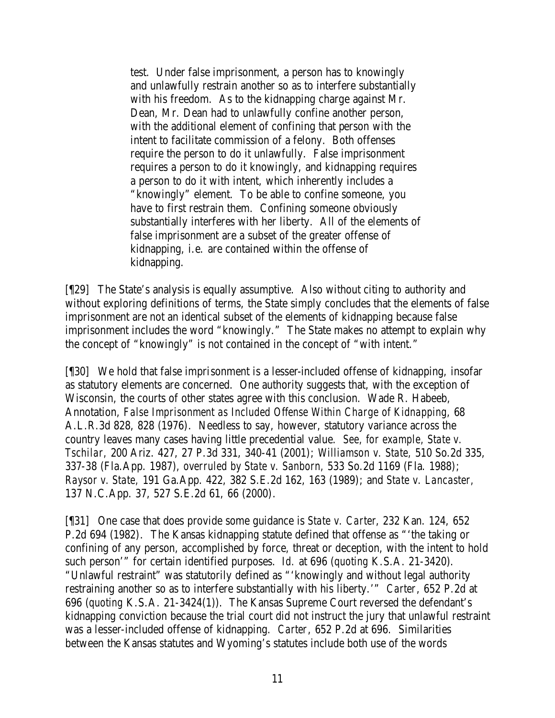test. Under false imprisonment, a person has to knowingly and unlawfully restrain another so as to interfere substantially with his freedom. As to the kidnapping charge against Mr. Dean, Mr. Dean had to unlawfully confine another person, with the additional element of confining that person with the intent to facilitate commission of a felony. Both offenses require the person to do it unlawfully. False imprisonment requires a person to do it knowingly, and kidnapping requires a person to do it with intent, which inherently includes a "knowingly" element. To be able to confine someone, you have to first restrain them. Confining someone obviously substantially interferes with her liberty. All of the elements of false imprisonment are a subset of the greater offense of kidnapping, i.e. are contained within the offense of kidnapping.

[¶29] The State's analysis is equally assumptive. Also without citing to authority and without exploring definitions of terms, the State simply concludes that the elements of false imprisonment are not an identical subset of the elements of kidnapping because false imprisonment includes the word "knowingly." The State makes no attempt to explain why the concept of "knowingly" is not contained in the concept of "with intent."

[¶30] We hold that false imprisonment is a lesser-included offense of kidnapping, insofar as statutory elements are concerned. One authority suggests that, with the exception of Wisconsin, the courts of other states agree with this conclusion. Wade R. Habeeb, Annotation, *False Imprisonment as Included Offense Within Charge of Kidnapping,* 68 A.L.R.3d 828, 828 (1976). Needless to say, however, statutory variance across the country leaves many cases having little precedential value. *See, for example, State v. Tschilar,* 200 Ariz. 427, 27 P.3d 331, 340-41 (2001); *Williamson v. State,* 510 So.2d 335, 337-38 (Fla.App. 1987), *overruled by State v. Sanborn,* 533 So.2d 1169 (Fla. 1988); *Raysor v. State,* 191 Ga.App. 422, 382 S.E.2d 162, 163 (1989); and *State v. Lancaster,*  137 N.C.App. 37, 527 S.E.2d 61, 66 (2000).

[¶31] One case that does provide some guidance is *State v. Carter*, 232 Kan. 124, 652 P.2d 694 (1982). The Kansas kidnapping statute defined that offense as "'the taking or confining of any person, accomplished by force, threat or deception, with the intent to hold such person'" for certain identified purposes. *Id.* at 696 (*quoting* K.S.A. 21-3420). "Unlawful restraint" was statutorily defined as "'knowingly and without legal authority restraining another so as to interfere substantially with his liberty.'" *Carter*, 652 P.2d at 696 (*quoting* K.S.A. 21-3424(1)). The Kansas Supreme Court reversed the defendant's kidnapping conviction because the trial court did not instruct the jury that unlawful restraint was a lesser-included offense of kidnapping. *Carter*, 652 P.2d at 696. Similarities between the Kansas statutes and Wyoming's statutes include both use of the words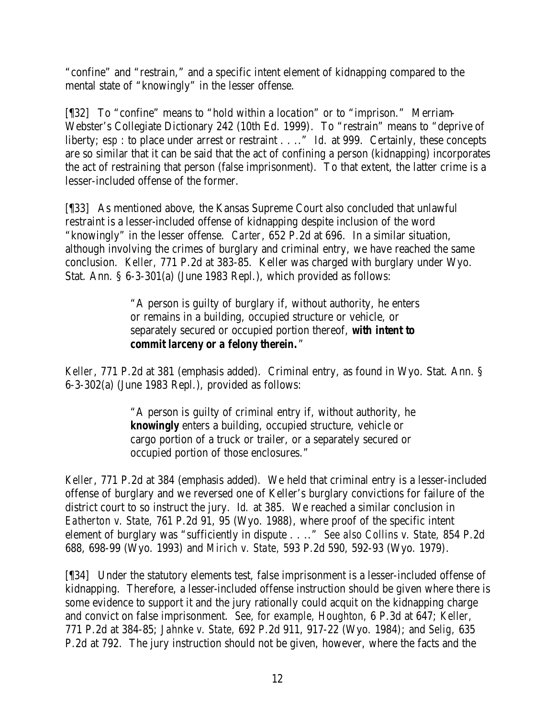"confine" and "restrain," and a specific intent element of kidnapping compared to the mental state of "knowingly" in the lesser offense.

[¶32] To "confine" means to "hold within a location" or to "imprison." Merriam-Webster's Collegiate Dictionary 242 (10th Ed. 1999). To "restrain" means to "deprive of liberty; *esp* : to place under arrest or restraint . . .." *Id.* at 999. Certainly, these concepts are so similar that it can be said that the act of confining a person (kidnapping) incorporates the act of restraining that person (false imprisonment). To that extent, the latter crime is a lesser-included offense of the former.

[¶33] As mentioned above, the Kansas Supreme Court also concluded that unlawful restraint is a lesser-included offense of kidnapping despite inclusion of the word "knowingly" in the lesser offense. *Carter*, 652 P.2d at 696. In a similar situation, although involving the crimes of burglary and criminal entry, we have reached the same conclusion. *Keller,* 771 P.2d at 383-85. Keller was charged with burglary under Wyo. Stat. Ann. § 6-3-301(a) (June 1983 Repl.), which provided as follows:

> "A person is guilty of burglary if, without authority, he enters or remains in a building, occupied structure or vehicle, or separately secured or occupied portion thereof, *with intent to commit larceny or a felony therein.*"

*Keller*, 771 P.2d at 381 (emphasis added). Criminal entry, as found in Wyo. Stat. Ann. § 6-3-302(a) (June 1983 Repl.), provided as follows:

> "A person is guilty of criminal entry if, without authority, he *knowingly* enters a building, occupied structure, vehicle or cargo portion of a truck or trailer, or a separately secured or occupied portion of those enclosures."

*Keller*, 771 P.2d at 384 (emphasis added). We held that criminal entry is a lesser-included offense of burglary and we reversed one of Keller's burglary convictions for failure of the district court to so instruct the jury. *Id.* at 385. We reached a similar conclusion in *Eatherton v. State,* 761 P.2d 91, 95 (Wyo. 1988), where proof of the specific intent element of burglary was "sufficiently in dispute . . .." *See also Collins v. State,* 854 P.2d 688, 698-99 (Wyo. 1993) and *Mirich v. State,* 593 P.2d 590, 592-93 (Wyo. 1979).

[¶34] Under the statutory elements test, false imprisonment is a lesser-included offense of kidnapping. Therefore, a lesser-included offense instruction should be given where there is some evidence to support it and the jury rationally could acquit on the kidnapping charge and convict on false imprisonment. *See, for example, Houghton,* 6 P.3d at 647; *Keller,*  771 P.2d at 384-85; *Jahnke v. State,* 692 P.2d 911, 917-22 (Wyo. 1984); and *Selig,* 635 P.2d at 792. The jury instruction should not be given, however, where the facts and the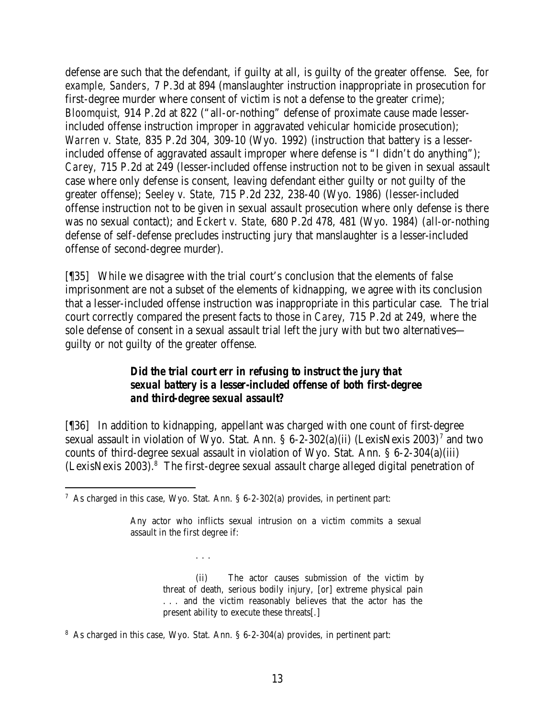defense are such that the defendant, if guilty at all, is guilty of the greater offense. *See, for example, Sanders,* 7 P.3d at 894 (manslaughter instruction inappropriate in prosecution for first-degree murder where consent of victim is not a defense to the greater crime); *Bloomquist,* 914 P.2d at 822 ("all-or-nothing" defense of proximate cause made lesserincluded offense instruction improper in aggravated vehicular homicide prosecution); *Warren v. State,* 835 P.2d 304, 309-10 (Wyo. 1992) (instruction that battery is a lesserincluded offense of aggravated assault improper where defense is "I didn't do anything"); *Carey,* 715 P.2d at 249 (lesser-included offense instruction not to be given in sexual assault case where only defense is consent, leaving defendant either guilty or not guilty of the greater offense); *Seeley v. State,* 715 P.2d 232, 238-40 (Wyo. 1986) (lesser-included offense instruction not to be given in sexual assault prosecution where only defense is there was no sexual contact); and *Eckert v. State,* 680 P.2d 478, 481 (Wyo. 1984) (all-or-nothing defense of self-defense precludes instructing jury that manslaughter is a lesser-included offense of second-degree murder).

[¶35] While we disagree with the trial court's conclusion that the elements of false imprisonment are not a subset of the elements of kidnapping, we agree with its conclusion that a lesser-included offense instruction was inappropriate in this particular case. The trial court correctly compared the present facts to those in *Carey,* 715 P.2d at 249, where the sole defense of consent in a sexual assault trial left the jury with but two alternatives guilty or not guilty of the greater offense.

# *Did the trial court err in refusing to instruct the jury that sexual battery is a lesser-included offense of both first-degree and third-degree sexual assault?*

[¶36] In addition to kidnapping, appellant was charged with one count of first-degree sexual assault in violation of Wyo. Stat. Ann. § 6-2-302(a)(ii) (LexisNexis 2003)<sup>7</sup> and two counts of third-degree sexual assault in violation of Wyo. Stat. Ann. § 6-2-304(a)(iii) (LexisNexis 2003).<sup>8</sup> The first-degree sexual assault charge alleged digital penetration of

. . .

(ii) The actor causes submission of the victim by threat of death, serious bodily injury, [or] extreme physical pain . . . and the victim reasonably believes that the actor has the present ability to execute these threats[.]

 <sup>7</sup> As charged in this case, Wyo. Stat. Ann. § 6-2-302(a) provides, in pertinent part:

Any actor who inflicts sexual intrusion on a victim commits a sexual assault in the first degree if:

<sup>&</sup>lt;sup>8</sup> As charged in this case, Wyo. Stat. Ann. § 6-2-304(a) provides, in pertinent part: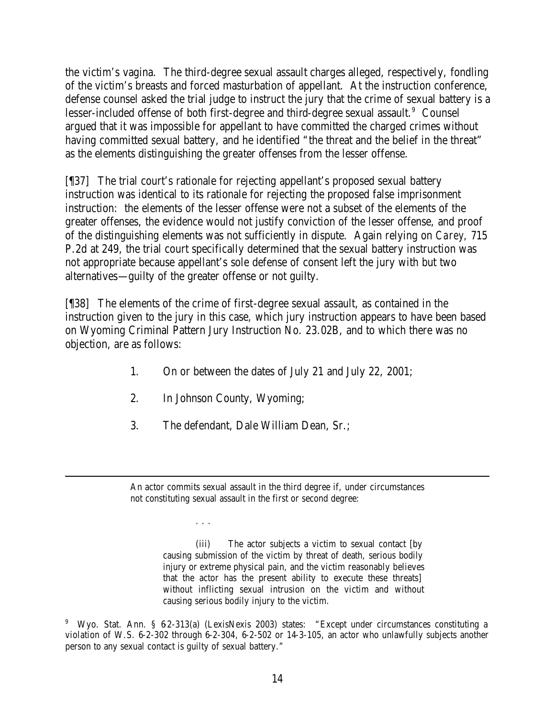the victim's vagina. The third-degree sexual assault charges alleged, respectively, fondling of the victim's breasts and forced masturbation of appellant. At the instruction conference, defense counsel asked the trial judge to instruct the jury that the crime of sexual battery is a lesser-included offense of both first-degree and third-degree sexual assault.<sup>9</sup> Counsel argued that it was impossible for appellant to have committed the charged crimes without having committed sexual battery, and he identified "the threat and the belief in the threat" as the elements distinguishing the greater offenses from the lesser offense.

[¶37] The trial court's rationale for rejecting appellant's proposed sexual battery instruction was identical to its rationale for rejecting the proposed false imprisonment instruction: the elements of the lesser offense were not a subset of the elements of the greater offenses, the evidence would not justify conviction of the lesser offense, and proof of the distinguishing elements was not sufficiently in dispute. Again relying on *Carey,* 715 P.2d at 249, the trial court specifically determined that the sexual battery instruction was not appropriate because appellant's sole defense of consent left the jury with but two alternatives—guilty of the greater offense or not guilty.

[¶38] The elements of the crime of first-degree sexual assault, as contained in the instruction given to the jury in this case, which jury instruction appears to have been based on Wyoming Criminal Pattern Jury Instruction No. 23.02B, and to which there was no objection, are as follows:

- 1. On or between the dates of July 21 and July 22, 2001;
- 2. In Johnson County, Wyoming;

. . .

3. The defendant, Dale William Dean, Sr.;

(iii) The actor subjects a victim to sexual contact [by causing submission of the victim by threat of death, serious bodily injury or extreme physical pain, and the victim reasonably believes that the actor has the present ability to execute these threats] without inflicting sexual intrusion on the victim and without causing serious bodily injury to the victim.

An actor commits sexual assault in the third degree if, under circumstances not constituting sexual assault in the first or second degree:

<sup>&</sup>lt;sup>9</sup> Wyo. Stat. Ann. § 62-313(a) (LexisNexis 2003) states: "Except under circumstances constituting a violation of W.S. 6-2-302 through 6-2-304, 6-2-502 or 14-3-105, an actor who unlawfully subjects another person to any sexual contact is guilty of sexual battery."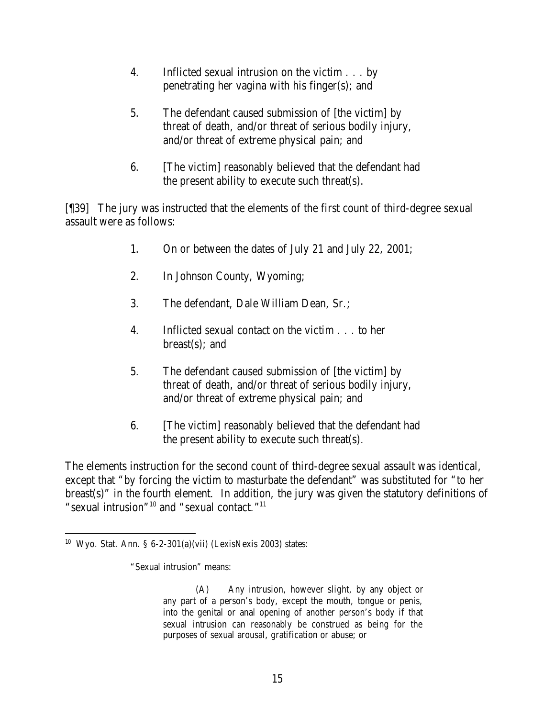- 4. Inflicted sexual intrusion on the victim . . . by penetrating her vagina with his finger(s); and
- 5. The defendant caused submission of [the victim] by threat of death, and/or threat of serious bodily injury, and/or threat of extreme physical pain; and
- 6. [The victim] reasonably believed that the defendant had the present ability to execute such threat(s).

[¶39] The jury was instructed that the elements of the first count of third-degree sexual assault were as follows:

- 1. On or between the dates of July 21 and July 22, 2001;
- 2. In Johnson County, Wyoming;
- 3. The defendant, Dale William Dean, Sr.;
- 4. Inflicted sexual contact on the victim . . . to her  $break(s)$ ; and
- 5. The defendant caused submission of [the victim] by threat of death, and/or threat of serious bodily injury, and/or threat of extreme physical pain; and
- 6. [The victim] reasonably believed that the defendant had the present ability to execute such threat(s).

The elements instruction for the second count of third-degree sexual assault was identical, except that "by forcing the victim to masturbate the defendant" was substituted for "to her breast(s)" in the fourth element. In addition, the jury was given the statutory definitions of "sexual intrusion"<sup>10</sup> and "sexual contact."<sup>11</sup>

<sup>&</sup>lt;sup>10</sup> Wyo. Stat. Ann. §  $6-2-301(a)(vii)$  (LexisNexis 2003) states:

<sup>&</sup>quot;Sexual intrusion" means:

<sup>(</sup>A) Any intrusion, however slight, by any object or any part of a person's body, except the mouth, tongue or penis, into the genital or anal opening of another person's body if that sexual intrusion can reasonably be construed as being for the purposes of sexual arousal, gratification or abuse; or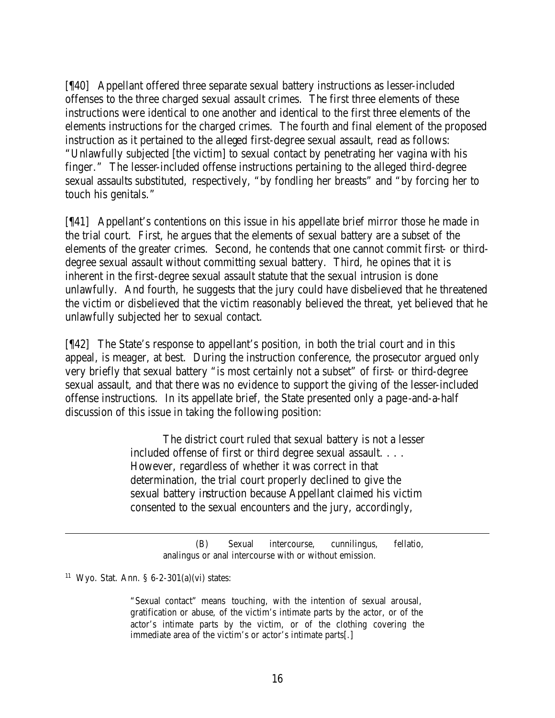[¶40] Appellant offered three separate sexual battery instructions as lesser-included offenses to the three charged sexual assault crimes. The first three elements of these instructions were identical to one another and identical to the first three elements of the elements instructions for the charged crimes. The fourth and final element of the proposed instruction as it pertained to the alleged first-degree sexual assault, read as follows: "Unlawfully subjected [the victim] to sexual contact by penetrating her vagina with his finger." The lesser-included offense instructions pertaining to the alleged third-degree sexual assaults substituted, respectively, "by fondling her breasts" and "by forcing her to touch his genitals."

[¶41] Appellant's contentions on this issue in his appellate brief mirror those he made in the trial court. First, he argues that the elements of sexual battery are a subset of the elements of the greater crimes. Second, he contends that one cannot commit first- or thirddegree sexual assault without committing sexual battery. Third, he opines that it is inherent in the first-degree sexual assault statute that the sexual intrusion is done unlawfully. And fourth, he suggests that the jury could have disbelieved that he threatened the victim or disbelieved that the victim reasonably believed the threat, yet believed that he unlawfully subjected her to sexual contact.

[¶42] The State's response to appellant's position, in both the trial court and in this appeal, is meager, at best. During the instruction conference, the prosecutor argued only very briefly that sexual battery "is most certainly not a subset" of first- or third-degree sexual assault, and that there was no evidence to support the giving of the lesser-included offense instructions. In its appellate brief, the State presented only a page-and-a-half discussion of this issue in taking the following position:

> The district court ruled that sexual battery is not a lesser included offense of first or third degree sexual assault. . . . However, regardless of whether it was correct in that determination, the trial court properly declined to give the sexual battery instruction because Appellant claimed his victim consented to the sexual encounters and the jury, accordingly,

> > (B) Sexual intercourse, cunnilingus, fellatio, analingus or anal intercourse with or without emission.

 $11$  Wyo. Stat. Ann. § 6-2-301(a)(vi) states:

"Sexual contact" means touching, with the intention of sexual arousal, gratification or abuse, of the victim's intimate parts by the actor, or of the actor's intimate parts by the victim, or of the clothing covering the immediate area of the victim's or actor's intimate parts[.]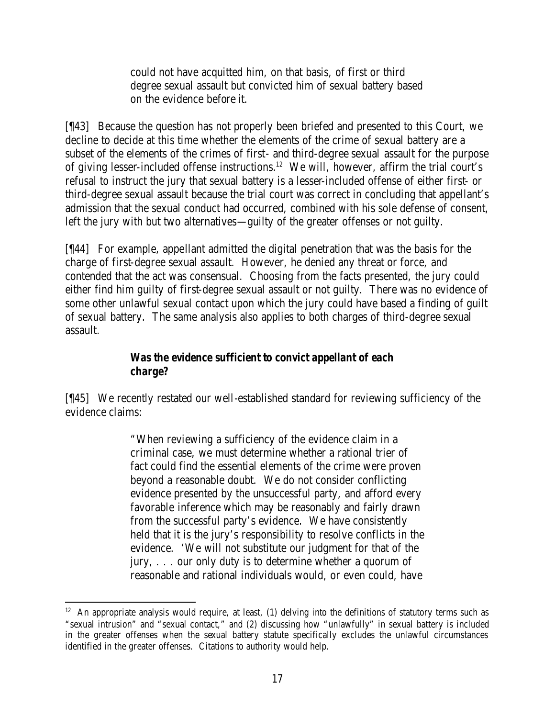could not have acquitted him, on that basis, of first or third degree sexual assault but convicted him of sexual battery based on the evidence before it.

[¶43] Because the question has not properly been briefed and presented to this Court, we decline to decide at this time whether the elements of the crime of sexual battery are a subset of the elements of the crimes of first- and third-degree sexual assault for the purpose of giving lesser-included offense instructions.<sup>12</sup> We will, however, affirm the trial court's refusal to instruct the jury that sexual battery is a lesser-included offense of either first- or third-degree sexual assault because the trial court was correct in concluding that appellant's admission that the sexual conduct had occurred, combined with his sole defense of consent, left the jury with but two alternatives—guilty of the greater offenses or not guilty.

[¶44] For example, appellant admitted the digital penetration that was the basis for the charge of first-degree sexual assault. However, he denied any threat or force, and contended that the act was consensual. Choosing from the facts presented, the jury could either find him guilty of first-degree sexual assault or not guilty. There was no evidence of some other unlawful sexual contact upon which the jury could have based a finding of guilt of sexual battery. The same analysis also applies to both charges of third-degree sexual assault.

### *Was the evidence sufficient to convict appellant of each charge?*

[¶45] We recently restated our well-established standard for reviewing sufficiency of the evidence claims:

> "When reviewing a sufficiency of the evidence claim in a criminal case, we must determine whether a rational trier of fact could find the essential elements of the crime were proven beyond a reasonable doubt. We do not consider conflicting evidence presented by the unsuccessful party, and afford every favorable inference which may be reasonably and fairly drawn from the successful party's evidence. We have consistently held that it is the jury's responsibility to resolve conflicts in the evidence. 'We will not substitute our judgment for that of the jury, . . . our only duty is to determine whether a quorum of reasonable and rational individuals would, or even could, have

 $12$  An appropriate analysis would require, at least, (1) delving into the definitions of statutory terms such as "sexual intrusion" and "sexual contact," and (2) discussing how "unlawfully" in sexual battery is included in the greater offenses when the sexual battery statute specifically excludes the unlawful circumstances identified in the greater offenses. Citations to authority would help.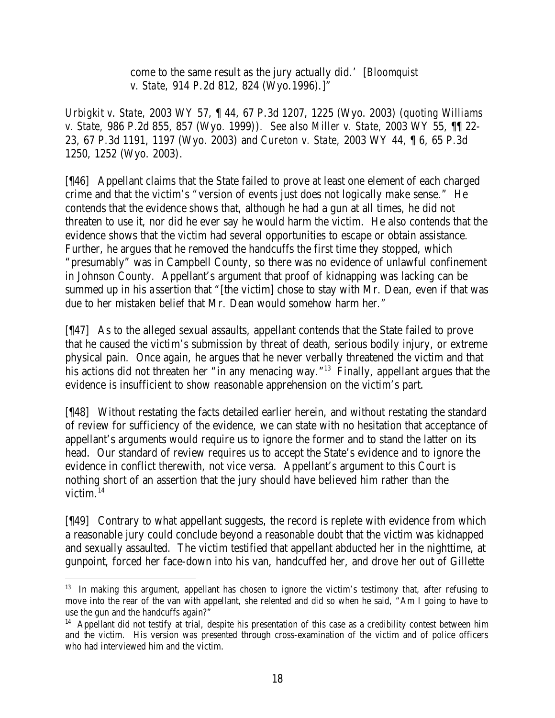come to the same result as the jury actually did.' [*Bloomquist v. State,* 914 P.2d 812, 824 (Wyo.1996).]"

*Urbigkit v. State,* 2003 WY 57, ¶ 44, 67 P.3d 1207, 1225 (Wyo. 2003) (*quoting Williams v. State,* 986 P.2d 855, 857 (Wyo. 1999)). *See also Miller v. State,* 2003 WY 55, ¶¶ 22- 23, 67 P.3d 1191, 1197 (Wyo. 2003) and *Cureton v. State,* 2003 WY 44, ¶ 6, 65 P.3d 1250, 1252 (Wyo. 2003).

[¶46] Appellant claims that the State failed to prove at least one element of each charged crime and that the victim's "version of events just does not logically make sense." He contends that the evidence shows that, although he had a gun at all times, he did not threaten to use it, nor did he ever say he would harm the victim. He also contends that the evidence shows that the victim had several opportunities to escape or obtain assistance. Further, he argues that he removed the handcuffs the first time they stopped, which "presumably" was in Campbell County, so there was no evidence of unlawful confinement in Johnson County. Appellant's argument that proof of kidnapping was lacking can be summed up in his assertion that "[the victim] chose to stay with Mr. Dean, even if that was due to her mistaken belief that Mr. Dean would somehow harm her."

[¶47] As to the alleged sexual assaults, appellant contends that the State failed to prove that he caused the victim's submission by threat of death, serious bodily injury, or extreme physical pain. Once again, he argues that he never verbally threatened the victim and that his actions did not threaten her "in any menacing way."<sup>13</sup> Finally, appellant argues that the evidence is insufficient to show reasonable apprehension on the victim's part.

[¶48] Without restating the facts detailed earlier herein, and without restating the standard of review for sufficiency of the evidence, we can state with no hesitation that acceptance of appellant's arguments would require us to ignore the former and to stand the latter on its head. Our standard of review requires us to accept the State's evidence and to ignore the evidence in conflict therewith, not vice versa. Appellant's argument to this Court is nothing short of an assertion that the jury should have believed him rather than the victim. $^{14}$ 

[¶49] Contrary to what appellant suggests, the record is replete with evidence from which a reasonable jury could conclude beyond a reasonable doubt that the victim was kidnapped and sexually assaulted. The victim testified that appellant abducted her in the nighttime, at gunpoint, forced her face-down into his van, handcuffed her, and drove her out of Gillette

<sup>&</sup>lt;sup>13</sup> In making this argument, appellant has chosen to ignore the victim's testimony that, after refusing to move into the rear of the van with appellant, she relented and did so when he said, "Am I going to have to use the gun and the handcuffs again?"

<sup>&</sup>lt;sup>14</sup> Appellant did not testify at trial, despite his presentation of this case as a credibility contest between him and the victim. His version was presented through cross-examination of the victim and of police officers who had interviewed him and the victim.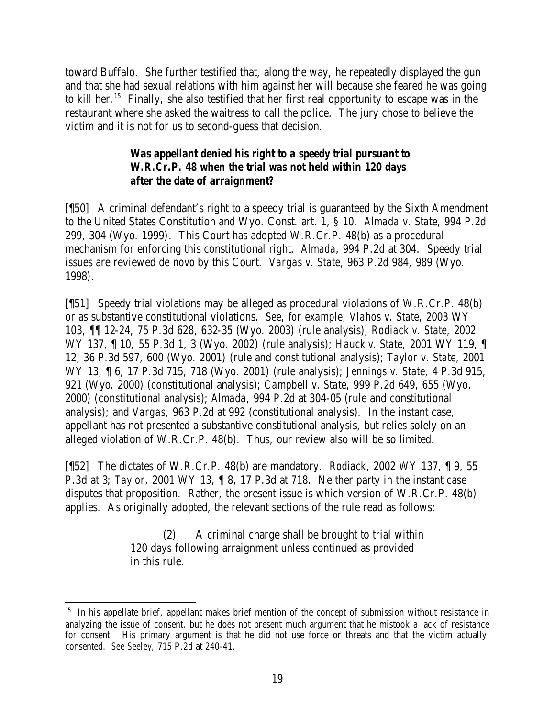toward Buffalo. She further testified that, along the way, he repeatedly displayed the gun and that she had sexual relations with him against her will because she feared he was going to kill her.<sup>15</sup> Finally, she also testified that her first real opportunity to escape was in the restaurant where she asked the waitress to call the police. The jury chose to believe the victim and it is not for us to second-guess that decision.

## *Was appellant denied his right to a speedy trial pursuant to W.R.Cr.P. 48 when the trial was not held within 120 days after the date of arraignment?*

[¶50] A criminal defendant's right to a speedy trial is guaranteed by the Sixth Amendment to the United States Constitution and Wyo. Const. art. 1, § 10. *Almada v. State,* 994 P.2d 299, 304 (Wyo. 1999). This Court has adopted W.R.Cr.P. 48(b) as a procedural mechanism for enforcing this constitutional right. *Almada*, 994 P.2d at 304. Speedy trial issues are reviewed *de novo* by this Court. *Vargas v. State,* 963 P.2d 984, 989 (Wyo. 1998).

[¶51] Speedy trial violations may be alleged as procedural violations of W.R.Cr.P. 48(b) or as substantive constitutional violations. *See, for example, Vlahos v. State,* 2003 WY 103, ¶¶ 12-24, 75 P.3d 628, 632-35 (Wyo. 2003) (rule analysis); *Rodiack v. State,* 2002 WY 137, ¶ 10, 55 P.3d 1, 3 (Wyo. 2002) (rule analysis); *Hauck v. State,* 2001 WY 119, ¶ 12, 36 P.3d 597, 600 (Wyo. 2001) (rule and constitutional analysis); *Taylor v. State,* 2001 WY 13, ¶ 6, 17 P.3d 715, 718 (Wyo. 2001) (rule analysis); *Jennings v. State,* 4 P.3d 915, 921 (Wyo. 2000) (constitutional analysis); *Campbell v. State,* 999 P.2d 649, 655 (Wyo. 2000) (constitutional analysis); *Almada,* 994 P.2d at 304-05 (rule and constitutional analysis); and *Vargas,* 963 P.2d at 992 (constitutional analysis). In the instant case, appellant has not presented a substantive constitutional analysis, but relies solely on an alleged violation of W.R.Cr.P. 48(b). Thus, our review also will be so limited.

[¶52] The dictates of W.R.Cr.P. 48(b) are mandatory. *Rodiack*, 2002 WY 137, ¶ 9, 55 P.3d at 3; *Taylor,* 2001 WY 13, ¶ 8, 17 P.3d at 718. Neither party in the instant case disputes that proposition. Rather, the present issue is which version of W.R.Cr.P. 48(b) applies. As originally adopted, the relevant sections of the rule read as follows:

> (2) A criminal charge shall be brought to trial within 120 days following arraignment unless continued as provided in this rule.

<sup>&</sup>lt;sup>15</sup> In his appellate brief, appellant makes brief mention of the concept of submission without resistance in analyzing the issue of consent, but he does not present much argument that he mistook a lack of resistance for consent. His primary argument is that he did not use force or threats and that the victim actually consented. *See Seeley,* 715 P.2d at 240-41.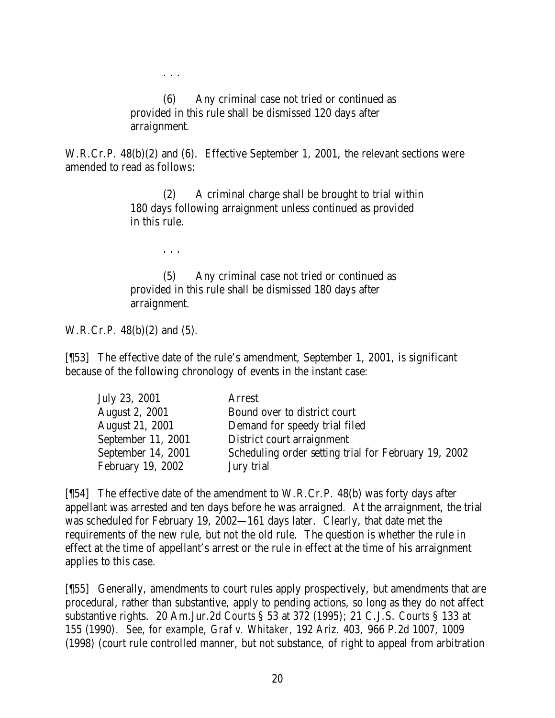(6) Any criminal case not tried or continued as provided in this rule shall be dismissed 120 days after arraignment.

W.R.Cr.P. 48(b)(2) and (6). Effective September 1, 2001, the relevant sections were amended to read as follows:

> (2) A criminal charge shall be brought to trial within 180 days following arraignment unless continued as provided in this rule.

. . .

. . .

(5) Any criminal case not tried or continued as provided in this rule shall be dismissed 180 days after arraignment.

W.R.Cr.P. 48(b)(2) and (5).

[¶53] The effective date of the rule's amendment, September 1, 2001, is significant because of the following chronology of events in the instant case:

| July 23, 2001          | Arrest                                               |
|------------------------|------------------------------------------------------|
| <b>August 2, 2001</b>  | Bound over to district court                         |
| <b>August 21, 2001</b> | Demand for speedy trial filed                        |
| September 11, 2001     | District court arraignment                           |
| September 14, 2001     | Scheduling order setting trial for February 19, 2002 |
| February 19, 2002      | Jury trial                                           |

[¶54] The effective date of the amendment to W.R.Cr.P. 48(b) was forty days after appellant was arrested and ten days before he was arraigned. At the arraignment, the trial was scheduled for February 19, 2002—161 days later. Clearly, that date met the requirements of the new rule, but not the old rule. The question is whether the rule in effect at the time of appellant's arrest or the rule in effect at the time of his arraignment applies to this case.

[¶55] Generally, amendments to court rules apply prospectively, but amendments that are procedural, rather than substantive, apply to pending actions, so long as they do not affect substantive rights. 20 Am.Jur.2d *Courts* § 53 at 372 (1995); 21 C.J.S. *Courts* § 133 at 155 (1990). *See, for example, Graf v. Whitaker,* 192 Ariz. 403, 966 P.2d 1007, 1009 (1998) (court rule controlled manner, but not substance, of right to appeal from arbitration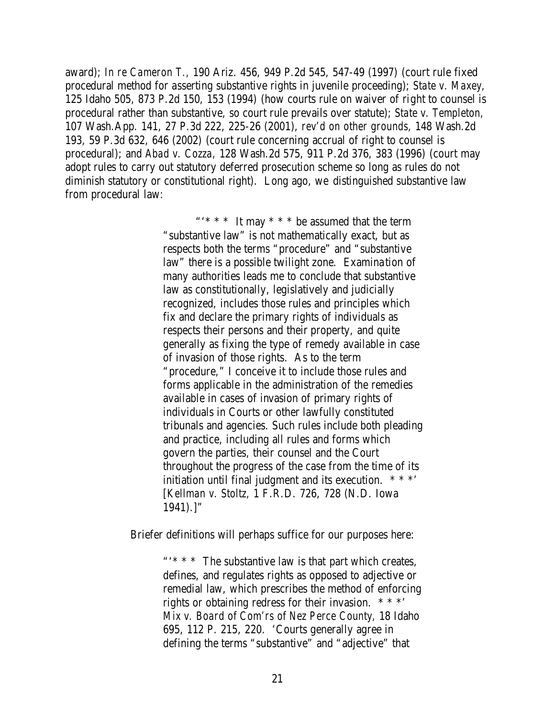award); *In re Cameron T.,* 190 Ariz. 456, 949 P.2d 545, 547-49 (1997) (court rule fixed procedural method for asserting substantive rights in juvenile proceeding); *State v. Maxey,*  125 Idaho 505, 873 P.2d 150, 153 (1994) (how courts rule on waiver of right to counsel is procedural rather than substantive, so court rule prevails over statute); *State v. Templeton,*  107 Wash.App. 141, 27 P.3d 222, 225-26 (2001), *rev'd on other grounds,* 148 Wash.2d 193, 59 P.3d 632, 646 (2002) (court rule concerning accrual of right to counsel is procedural); and *Abad v. Cozza,* 128 Wash.2d 575, 911 P.2d 376, 383 (1996) (court may adopt rules to carry out statutory deferred prosecution scheme so long as rules do not diminish statutory or constitutional right). Long ago, we distinguished substantive law from procedural law:

> "'\* \* \* It may \* \* \* be assumed that the term "substantive law" is not mathematically exact, but as respects both the terms "procedure" and "substantive law" there is a possible twilight zone. Examination of many authorities leads me to conclude that substantive law as constitutionally, legislatively and judicially recognized, includes those rules and principles which fix and declare the primary rights of individuals as respects their persons and their property, and quite generally as fixing the type of remedy available in case of invasion of those rights. As to the term "procedure," I conceive it to include those rules and forms applicable in the administration of the remedies available in cases of invasion of primary rights of individuals in Courts or other lawfully constituted tribunals and agencies. Such rules include both pleading and practice, including all rules and forms which govern the parties, their counsel and the Court throughout the progress of the case from the time of its initiation until final judgment and its execution.  $***$ [*Kellman v. Stoltz,* 1 F.R.D. 726, 728 (N.D. Iowa 1941).]"

Briefer definitions will perhaps suffice for our purposes here:

"'\* \* \* The substantive law is that part which creates, defines, and regulates rights as opposed to adjective or remedial law, which prescribes the method of enforcing rights or obtaining redress for their invasion. \* \* \*' *Mix v. Board of Com'rs of Nez Perce County,* 18 Idaho 695, 112 P. 215, 220. 'Courts generally agree in defining the terms "substantive" and "adjective" that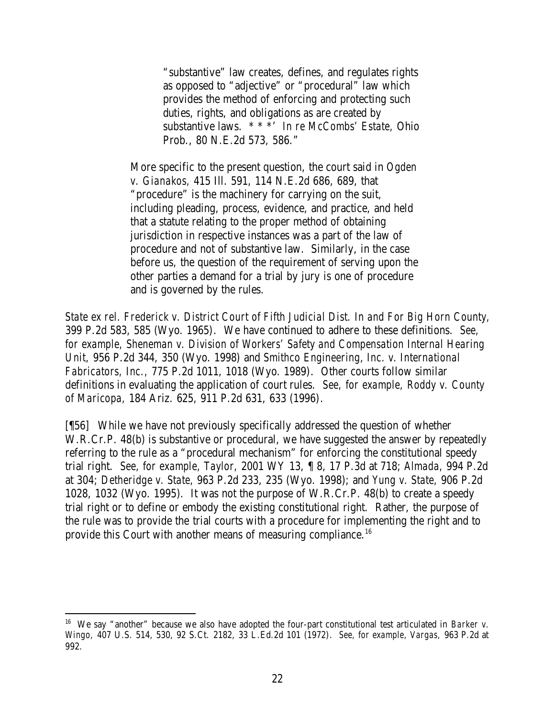"substantive" law creates, defines, and regulates rights as opposed to "adjective" or "procedural" law which provides the method of enforcing and protecting such duties, rights, and obligations as are created by substantive laws. \* \* \*' *In re McCombs' Estate,* Ohio Prob., 80 N.E.2d 573, 586."

More specific to the present question, the court said in *Ogden v. Gianakos,* 415 Ill. 591, 114 N.E.2d 686, 689, that "procedure" is the machinery for carrying on the suit, including pleading, process, evidence, and practice, and held that a statute relating to the proper method of obtaining jurisdiction in respective instances was a part of the law of procedure and not of substantive law. Similarly, in the case before us, the question of the requirement of serving upon the other parties a demand for a trial by jury is one of procedure and is governed by the rules.

*State ex rel. Frederick v. District Court of Fifth Judicial Dist. In and For Big Horn County,*  399 P.2d 583, 585 (Wyo. 1965). We have continued to adhere to these definitions. *See, for example, Sheneman v. Division of Workers' Safety and Compensation Internal Hearing Unit,* 956 P.2d 344, 350 (Wyo. 1998) and *Smithco Engineering, Inc. v. International Fabricators, Inc.,* 775 P.2d 1011, 1018 (Wyo. 1989). Other courts follow similar definitions in evaluating the application of court rules. *See, for example, Roddy v. County of Maricopa,* 184 Ariz. 625, 911 P.2d 631, 633 (1996).

[¶56] While we have not previously specifically addressed the question of whether W.R.Cr.P. 48(b) is substantive or procedural, we have suggested the answer by repeatedly referring to the rule as a "procedural mechanism" for enforcing the constitutional speedy trial right. *See, for example, Taylor,* 2001 WY 13, ¶ 8, 17 P.3d at 718; *Almada,* 994 P.2d at 304; *Detheridge v. State,* 963 P.2d 233, 235 (Wyo. 1998); and *Yung v. State,* 906 P.2d 1028, 1032 (Wyo. 1995). It was not the purpose of W.R.Cr.P. 48(b) to create a speedy trial right or to define or embody the existing constitutional right. Rather, the purpose of the rule was to provide the trial courts with a procedure for implementing the right and to provide this Court with another means of measuring compliance.<sup>16</sup>

<sup>16</sup> We say "another" because we also have adopted the four-part constitutional test articulated in *Barker v. Wingo,* 407 U.S. 514, 530, 92 S.Ct. 2182, 33 L.Ed.2d 101 (1972). *See, for example, Vargas,* 963 P.2d at 992.